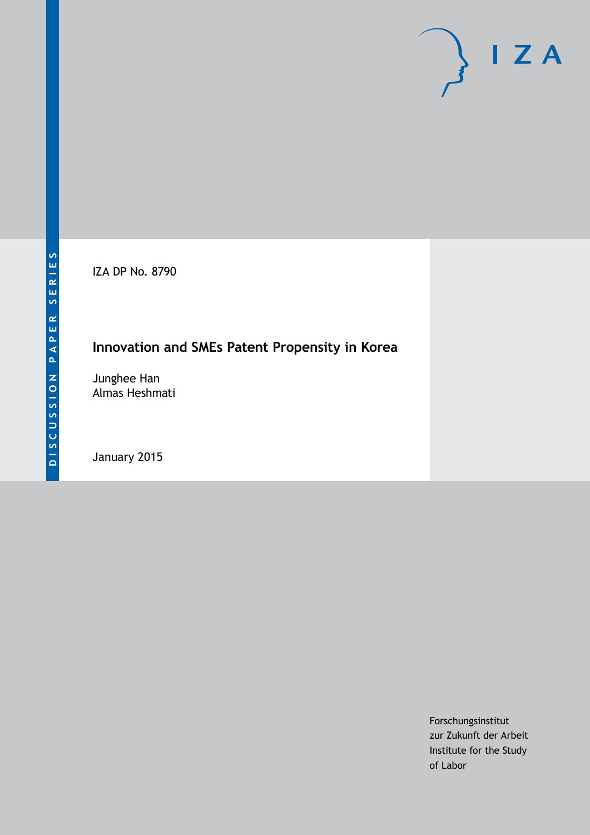IZA DP No. 8790

# **Innovation and SMEs Patent Propensity in Korea**

Junghee Han Almas Heshmati

January 2015

Forschungsinstitut zur Zukunft der Arbeit Institute for the Study of Labor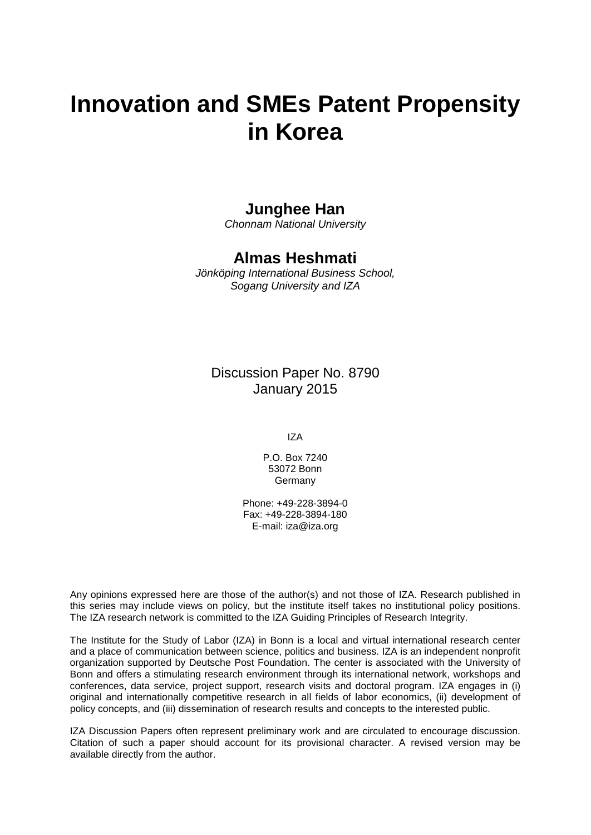# **Innovation and SMEs Patent Propensity in Korea**

# **Junghee Han**

*Chonnam National University*

# **Almas Heshmati**

*Jönköping International Business School, Sogang University and IZA*

Discussion Paper No. 8790 January 2015

IZA

P.O. Box 7240 53072 Bonn Germany

Phone: +49-228-3894-0 Fax: +49-228-3894-180 E-mail: [iza@iza.org](mailto:iza@iza.org)

Any opinions expressed here are those of the author(s) and not those of IZA. Research published in this series may include views on policy, but the institute itself takes no institutional policy positions. The IZA research network is committed to the IZA Guiding Principles of Research Integrity.

The Institute for the Study of Labor (IZA) in Bonn is a local and virtual international research center and a place of communication between science, politics and business. IZA is an independent nonprofit organization supported by Deutsche Post Foundation. The center is associated with the University of Bonn and offers a stimulating research environment through its international network, workshops and conferences, data service, project support, research visits and doctoral program. IZA engages in (i) original and internationally competitive research in all fields of labor economics, (ii) development of policy concepts, and (iii) dissemination of research results and concepts to the interested public.

IZA Discussion Papers often represent preliminary work and are circulated to encourage discussion. Citation of such a paper should account for its provisional character. A revised version may be available directly from the author.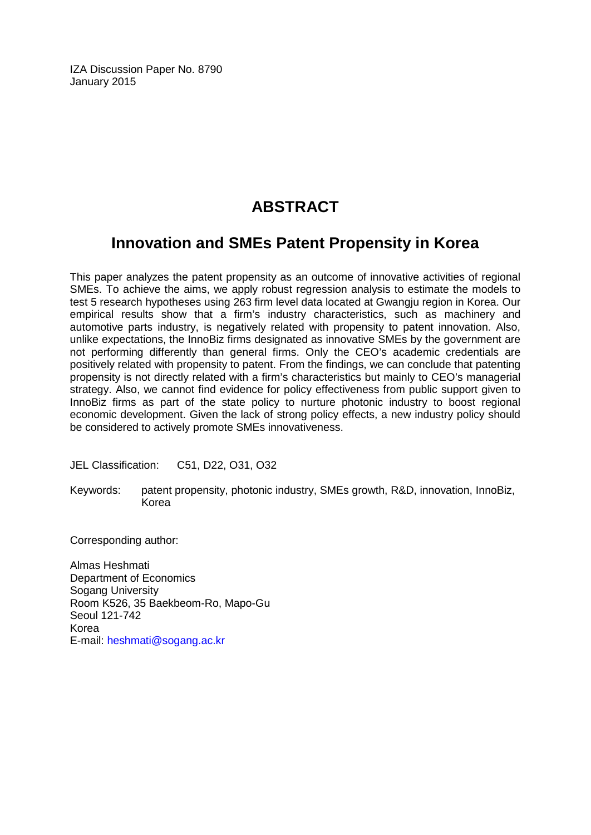IZA Discussion Paper No. 8790 January 2015

# **ABSTRACT**

# **Innovation and SMEs Patent Propensity in Korea**

This paper analyzes the patent propensity as an outcome of innovative activities of regional SMEs. To achieve the aims, we apply robust regression analysis to estimate the models to test 5 research hypotheses using 263 firm level data located at Gwangju region in Korea. Our empirical results show that a firm's industry characteristics, such as machinery and automotive parts industry, is negatively related with propensity to patent innovation. Also, unlike expectations, the InnoBiz firms designated as innovative SMEs by the government are not performing differently than general firms. Only the CEO's academic credentials are positively related with propensity to patent. From the findings, we can conclude that patenting propensity is not directly related with a firm's characteristics but mainly to CEO's managerial strategy. Also, we cannot find evidence for policy effectiveness from public support given to InnoBiz firms as part of the state policy to nurture photonic industry to boost regional economic development. Given the lack of strong policy effects, a new industry policy should be considered to actively promote SMEs innovativeness.

JEL Classification: C51, D22, O31, O32

Keywords: patent propensity, photonic industry, SMEs growth, R&D, innovation, InnoBiz, Korea

Corresponding author:

Almas Heshmati Department of Economics Sogang University Room K526, 35 Baekbeom-Ro, Mapo-Gu Seoul 121-742 Korea E-mail: [heshmati@sogang.ac.kr](mailto:heshmati@sogang.ac.kr)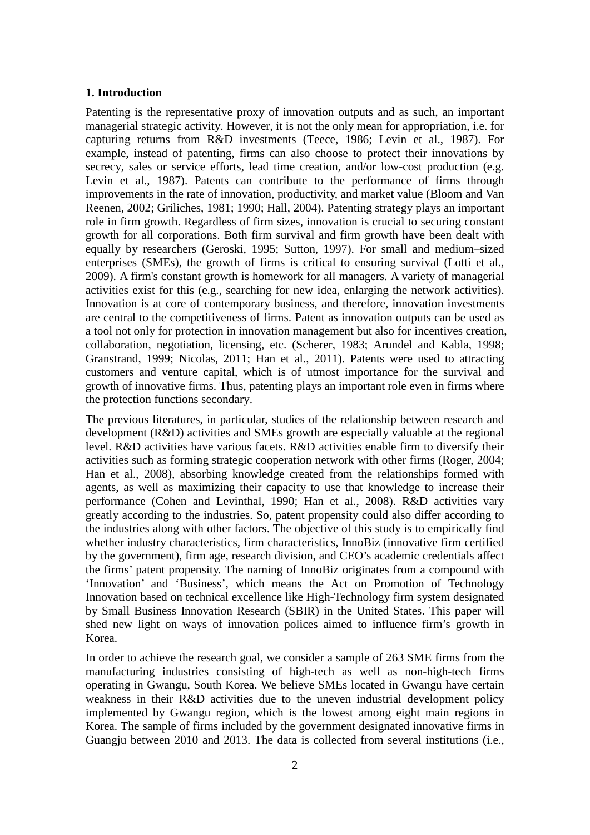#### **1. Introduction**

Patenting is the representative proxy of innovation outputs and as such, an important managerial strategic activity. However, it is not the only mean for appropriation, i.e. for capturing returns from R&D investments (Teece, 1986; Levin et al., 1987). For example, instead of patenting, firms can also choose to protect their innovations by secrecy, sales or service efforts, lead time creation, and/or low-cost production (e.g. Levin et al., 1987). Patents can contribute to the performance of firms through improvements in the rate of innovation, productivity, and market value (Bloom and Van Reenen, 2002; Griliches, 1981; 1990; Hall, 2004). Patenting strategy plays an important role in firm growth. Regardless of firm sizes, innovation is crucial to securing constant growth for all corporations. Both firm survival and firm growth have been dealt with equally by researchers (Geroski, 1995; Sutton, 1997). For small and medium–sized enterprises (SMEs), the growth of firms is critical to ensuring survival (Lotti et al., 2009). A firm's constant growth is homework for all managers. A variety of managerial activities exist for this (e.g., searching for new idea, enlarging the network activities). Innovation is at core of contemporary business, and therefore, innovation investments are central to the competitiveness of firms. Patent as innovation outputs can be used as a tool not only for protection in innovation management but also for incentives creation, collaboration, negotiation, licensing, etc. (Scherer, 1983; Arundel and Kabla, 1998; Granstrand, 1999; Nicolas, 2011; Han et al., 2011). Patents were used to attracting customers and venture capital, which is of utmost importance for the survival and growth of innovative firms. Thus, patenting plays an important role even in firms where the protection functions secondary.

The previous literatures, in particular, studies of the relationship between research and development (R&D) activities and SMEs growth are especially valuable at the regional level. R&D activities have various facets. R&D activities enable firm to diversify their activities such as forming strategic cooperation network with other firms (Roger, 2004; Han et al., 2008), absorbing knowledge created from the relationships formed with agents, as well as maximizing their capacity to use that knowledge to increase their performance (Cohen and Levinthal, 1990; Han et al., 2008). R&D activities vary greatly according to the industries. So, patent propensity could also differ according to the industries along with other factors. The objective of this study is to empirically find whether industry characteristics, firm characteristics, InnoBiz (innovative firm certified by the government), firm age, research division, and CEO's academic credentials affect the firms' patent propensity. The naming of InnoBiz originates from a compound with 'Innovation' and 'Business', which means the Act on Promotion of Technology Innovation based on technical excellence like High-Technology firm system designated by Small Business Innovation Research (SBIR) in the United States. This paper will shed new light on ways of innovation polices aimed to influence firm's growth in Korea.

In order to achieve the research goal, we consider a sample of 263 SME firms from the manufacturing industries consisting of high-tech as well as non-high-tech firms operating in Gwangu, South Korea. We believe SMEs located in Gwangu have certain weakness in their R&D activities due to the uneven industrial development policy implemented by Gwangu region, which is the lowest among eight main regions in Korea. The sample of firms included by the government designated innovative firms in Guangju between 2010 and 2013. The data is collected from several institutions (i.e.,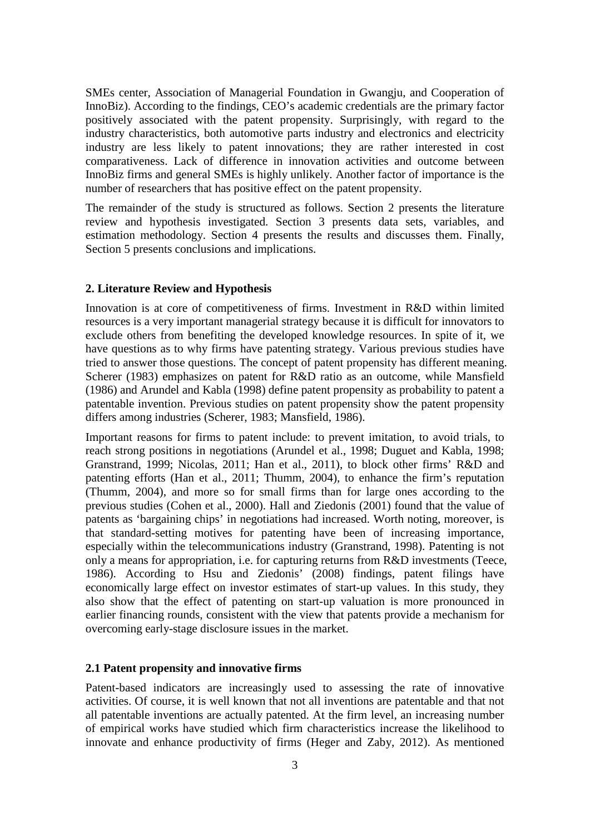SMEs center, Association of Managerial Foundation in Gwangju, and Cooperation of InnoBiz). According to the findings, CEO's academic credentials are the primary factor positively associated with the patent propensity. Surprisingly, with regard to the industry characteristics, both automotive parts industry and electronics and electricity industry are less likely to patent innovations; they are rather interested in cost comparativeness. Lack of difference in innovation activities and outcome between InnoBiz firms and general SMEs is highly unlikely. Another factor of importance is the number of researchers that has positive effect on the patent propensity.

The remainder of the study is structured as follows. Section 2 presents the literature review and hypothesis investigated. Section 3 presents data sets, variables, and estimation methodology. Section 4 presents the results and discusses them. Finally, Section 5 presents conclusions and implications.

# **2. Literature Review and Hypothesis**

Innovation is at core of competitiveness of firms. Investment in R&D within limited resources is a very important managerial strategy because it is difficult for innovators to exclude others from benefiting the developed knowledge resources. In spite of it, we have questions as to why firms have patenting strategy. Various previous studies have tried to answer those questions. The concept of patent propensity has different meaning. Scherer (1983) emphasizes on patent for R&D ratio as an outcome, while Mansfield (1986) and Arundel and Kabla (1998) define patent propensity as probability to patent a patentable invention. Previous studies on patent propensity show the patent propensity differs among industries (Scherer, 1983; Mansfield, 1986).

Important reasons for firms to patent include: to prevent imitation, to avoid trials, to reach strong positions in negotiations (Arundel et al., 1998; Duguet and Kabla, 1998; Granstrand, 1999; Nicolas, 2011; Han et al., 2011), to block other firms' R&D and patenting efforts (Han et al., 2011; Thumm, 2004), to enhance the firm's reputation (Thumm, 2004), and more so for small firms than for large ones according to the previous studies (Cohen et al., 2000). Hall and Ziedonis (2001) found that the value of patents as 'bargaining chips' in negotiations had increased. Worth noting, moreover, is that standard-setting motives for patenting have been of increasing importance, especially within the telecommunications industry (Granstrand, 1998). Patenting is not only a means for appropriation, i.e. for capturing returns from R&D investments (Teece, 1986). According to Hsu and Ziedonis' (2008) findings, patent filings have economically large effect on investor estimates of start-up values. In this study, they also show that the effect of patenting on start-up valuation is more pronounced in earlier financing rounds, consistent with the view that patents provide a mechanism for overcoming early-stage disclosure issues in the market.

## **2.1 Patent propensity and innovative firms**

Patent-based indicators are increasingly used to assessing the rate of innovative activities. Of course, it is well known that not all inventions are patentable and that not all patentable inventions are actually patented. At the firm level, an increasing number of empirical works have studied which firm characteristics increase the likelihood to innovate and enhance productivity of firms (Heger and Zaby, 2012). As mentioned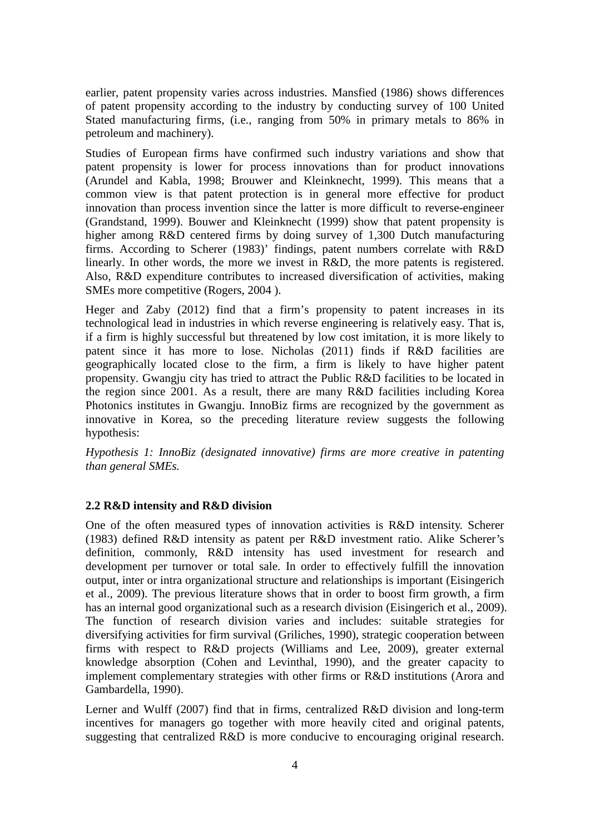earlier, patent propensity varies across industries. Mansfied (1986) shows differences of patent propensity according to the industry by conducting survey of 100 United Stated manufacturing firms, (i.e., ranging from 50% in primary metals to 86% in petroleum and machinery).

Studies of European firms have confirmed such industry variations and show that patent propensity is lower for process innovations than for product innovations (Arundel and Kabla, 1998; Brouwer and Kleinknecht, 1999). This means that a common view is that patent protection is in general more effective for product innovation than process invention since the latter is more difficult to reverse-engineer (Grandstand, 1999). Bouwer and Kleinknecht (1999) show that patent propensity is higher among R&D centered firms by doing survey of 1,300 Dutch manufacturing firms. According to Scherer (1983)' findings, patent numbers correlate with R&D linearly. In other words, the more we invest in R&D, the more patents is registered. Also, R&D expenditure contributes to increased diversification of activities, making SMEs more competitive [\(Rogers, 2004](http://www.sciencedirect.com/science/article/pii/S0048733311001685#bib0260) ).

Heger and Zaby (2012) find that a firm's propensity to patent increases in its technological lead in industries in which reverse engineering is relatively easy. That is, if a firm is highly successful but threatened by low cost imitation, it is more likely to patent since it has more to lose. Nicholas (2011) finds if R&D facilities are geographically located close to the firm, a firm is likely to have higher patent propensity. Gwangju city has tried to attract the Public R&D facilities to be located in the region since 2001. As a result, there are many R&D facilities including Korea Photonics institutes in Gwangju. InnoBiz firms are recognized by the government as innovative in Korea, so the preceding literature review suggests the following hypothesis:

*Hypothesis 1: InnoBiz (designated innovative) firms are more creative in patenting than general SMEs.* 

# **2.2 R&D intensity and R&D division**

One of the often measured types of innovation activities is R&D intensity. Scherer (1983) defined R&D intensity as patent per R&D investment ratio. Alike Scherer's definition, commonly, R&D intensity has used investment for research and development per turnover or total sale. In order to effectively fulfill the innovation output, inter or intra organizational structure and relationships is important [\(Eisingerich](http://www.sciencedirect.com/science/article/pii/S0048733311001685#bib0100) et al., [2009\)](http://www.sciencedirect.com/science/article/pii/S0048733311001685#bib0100). The previous literature shows that in order to boost firm growth, a firm has an internal good organizational such as a research division [\(Eisingerich](http://www.sciencedirect.com/science/article/pii/S0048733311001685#bib0100) et al., 2009). The function of research division varies and includes: suitable strategies for diversifying activities for firm survival (Griliches, 1990), strategic cooperation between firms with respect to R&D projects (Williams and Lee, [2009\)](http://www.sciencedirect.com/science/article/pii/S0048733311001685#bib0190), greater external knowledge absorption [\(Cohen and Levinthal, 1990\)](http://www.sciencedirect.com/science/article/pii/S0048733311001685#bib0065), and the greater capacity to implement complementary strategies with other firms or R&D institutions [\(Arora](http://www.sciencedirect.com/science/article/pii/S0048733311001685#bib0015) and [Gambardella,](http://www.sciencedirect.com/science/article/pii/S0048733311001685#bib0015) 1990).

Lerner and Wulff (2007) find that in firms, centralized R&D division and long-term incentives for managers go together with more heavily cited and original patents, suggesting that centralized R&D is more conducive to encouraging original research.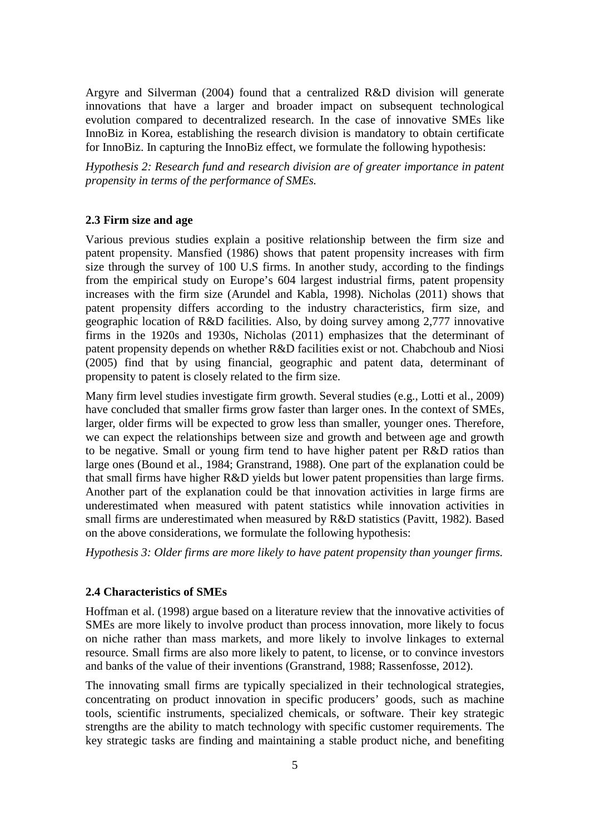Argyre and Silverman (2004) found that a centralized R&D division will generate innovations that have a larger and broader impact on subsequent technological evolution compared to decentralized research. In the case of innovative SMEs like InnoBiz in Korea, establishing the research division is mandatory to obtain certificate for InnoBiz. In capturing the InnoBiz effect, we formulate the following hypothesis:

*Hypothesis 2: Research fund and research division are of greater importance in patent propensity in terms of the performance of SMEs.*

## **2.3 Firm size and age**

Various previous studies explain a positive relationship between the firm size and patent propensity. Mansfied (1986) shows that patent propensity increases with firm size through the survey of 100 U.S firms. In another study, according to the findings from the empirical study on Europe's 604 largest industrial firms, patent propensity increases with the firm size (Arundel and Kabla, 1998). Nicholas (2011) shows that patent propensity differs according to the industry characteristics, firm size, and geographic location of R&D facilities. Also, by doing survey among 2,777 innovative firms in the 1920s and 1930s, Nicholas (2011) emphasizes that the determinant of patent propensity depends on whether R&D facilities exist or not. Chabchoub and Niosi (2005) find that by using financial, geographic and patent data, determinant of propensity to patent is closely related to the firm size.

Many firm level studies investigate firm growth. Several studies (e.g., [Lotti et al., 2009\)](http://www.sciencedirect.com/science/article/pii/S0048733311001685#bib0200) have concluded that smaller firms grow faster than larger ones. In the context of SMEs, larger, older firms will be expected to grow less than smaller, younger ones. Therefore, we can expect the relationships between size and growth and between age and growth to be negative. Small or young firm tend to have higher patent per R&D ratios than large ones (Bound et al., 1984; Granstrand, 1988). One part of the explanation could be that small firms have higher R&D yields but lower patent propensities than large firms. Another part of the explanation could be that innovation activities in large firms are underestimated when measured with patent statistics while innovation activities in small firms are underestimated when measured by R&D statistics (Pavitt, 1982). Based on the above considerations, we formulate the following hypothesis:

*Hypothesis 3: Older firms are more likely to have patent propensity than younger firms.*

# **2.4 Characteristics of SMEs**

Hoffman et al. (1998) argue based on a literature review that the innovative activities of SMEs are more likely to involve product than process innovation, more likely to focus on niche rather than mass markets, and more likely to involve linkages to external resource. Small firms are also more likely to patent, to license, or to convince investors and banks of the value of their inventions (Granstrand, 1988; Rassenfosse, 2012).

The innovating small firms are typically specialized in their technological strategies, concentrating on product innovation in specific producers' goods, such as machine tools, scientific instruments, specialized chemicals, or software. Their key strategic strengths are the ability to match technology with specific customer requirements. The key strategic tasks are finding and maintaining a stable product niche, and benefiting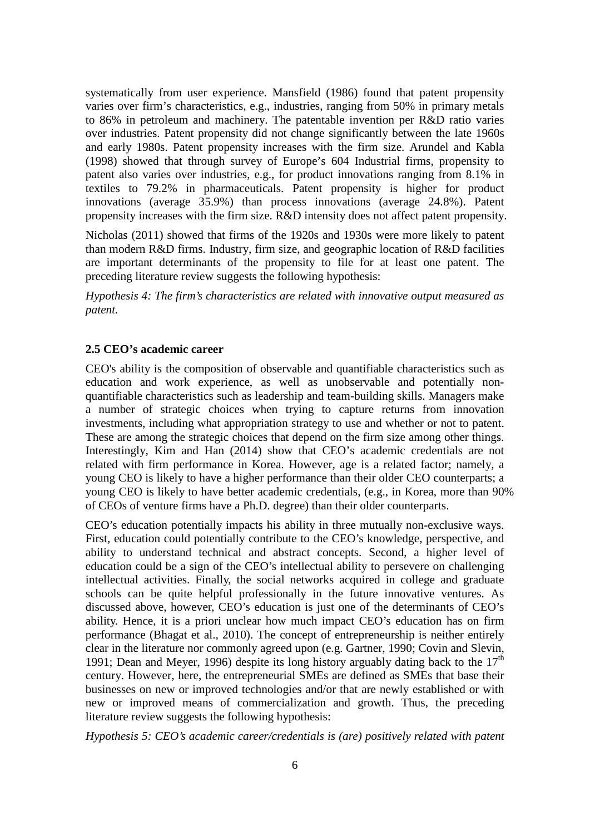systematically from user experience. Mansfield (1986) found that patent propensity varies over firm's characteristics, e.g., industries, ranging from 50% in primary metals to 86% in petroleum and machinery. The patentable invention per R&D ratio varies over industries. Patent propensity did not change significantly between the late 1960s and early 1980s. Patent propensity increases with the firm size. Arundel and Kabla (1998) showed that through survey of Europe's 604 Industrial firms, propensity to patent also varies over industries, e.g., for product innovations ranging from 8.1% in textiles to 79.2% in pharmaceuticals. Patent propensity is higher for product innovations (average 35.9%) than process innovations (average 24.8%). Patent propensity increases with the firm size. R&D intensity does not affect patent propensity.

Nicholas (2011) showed that firms of the 1920s and 1930s were more likely to patent than modern R&D firms. Industry, firm size, and geographic location of R&D facilities are important determinants of the propensity to file for at least one patent. The preceding literature review suggests the following hypothesis:

*Hypothesis 4: The firm's characteristics are related with innovative output measured as patent.* 

## **2.5 CEO's academic career**

CEO's ability is the composition of observable and quantifiable characteristics such as education and work experience, as well as unobservable and potentially nonquantifiable characteristics such as leadership and team-building skills. Managers make a number of strategic choices when trying to capture returns from innovation investments, including what appropriation strategy to use and whether or not to patent. These are among the strategic choices that depend on the firm size among other things. Interestingly, Kim and Han (2014) show that CEO's academic credentials are not related with firm performance in Korea. However, age is a related factor; namely, a young CEO is likely to have a higher performance than their older CEO counterparts; a young CEO is likely to have better academic credentials, (e.g., in Korea, more than 90% of CEOs of venture firms have a Ph.D. degree) than their older counterparts.

CEO's education potentially impacts his ability in three mutually non-exclusive ways. First, education could potentially contribute to the CEO's knowledge, perspective, and ability to understand technical and abstract concepts. Second, a higher level of education could be a sign of the CEO's intellectual ability to persevere on challenging intellectual activities. Finally, the social networks acquired in college and graduate schools can be quite helpful professionally in the future innovative ventures. As discussed above, however, CEO's education is just one of the determinants of CEO's ability. Hence, it is a priori unclear how much impact CEO's education has on firm performance (Bhagat et al., 2010). The concept of entrepreneurship is neither entirely clear in the literature nor commonly agreed upon (e.g. Gartner, 1990; Covin and Slevin, 1991; Dean and Meyer, 1996) despite its long history arguably dating back to the  $17<sup>th</sup>$ century. However, here, the entrepreneurial SMEs are defined as SMEs that base their businesses on new or improved technologies and/or that are newly established or with new or improved means of commercialization and growth. Thus, the preceding literature review suggests the following hypothesis:

*Hypothesis 5: CEO's academic career/credentials is (are) positively related with patent*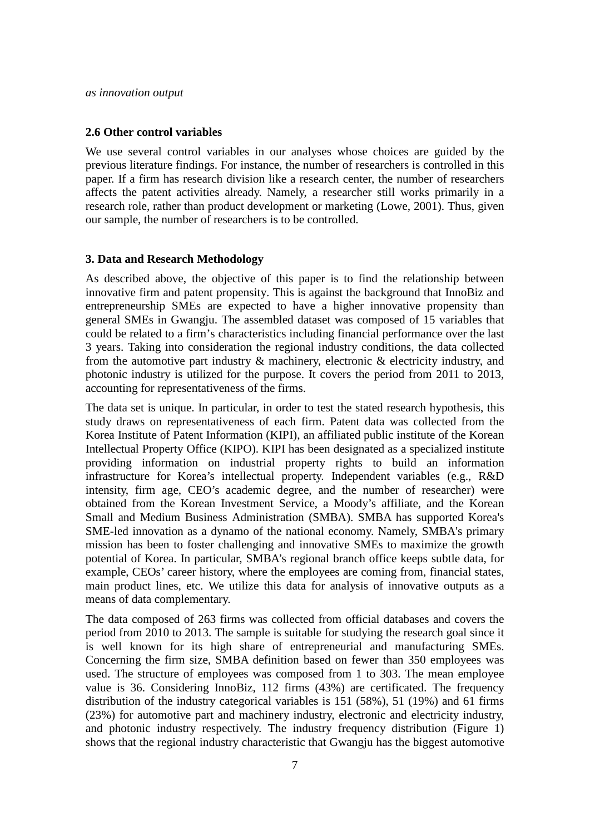#### **2.6 Other control variables**

We use several control variables in our analyses whose choices are guided by the previous literature findings. For instance, the number of researchers is controlled in this paper. If a firm has research division like a research center, the number of researchers affects the patent activities already. Namely, a researcher still works primarily in a research role, rather than product development or marketing (Lowe, 2001). Thus, given our sample, the number of researchers is to be controlled.

#### **3. Data and Research Methodology**

As described above, the objective of this paper is to find the relationship between innovative firm and patent propensity. This is against the background that InnoBiz and entrepreneurship SMEs are expected to have a higher innovative propensity than general SMEs in Gwangju. The assembled dataset was composed of 15 variables that could be related to a firm's characteristics including financial performance over the last 3 years. Taking into consideration the regional industry conditions, the data collected from the automotive part industry & machinery, electronic & electricity industry, and photonic industry is utilized for the purpose. It covers the period from 2011 to 2013, accounting for representativeness of the firms.

The data set is unique. In particular, in order to test the stated research hypothesis, this study draws on representativeness of each firm. Patent data was collected from the Korea Institute of Patent Information (KIPI), an affiliated public institute of the Korean Intellectual Property Office (KIPO). KIPI has been designated as a specialized institute providing information on industrial property rights to build an information infrastructure for Korea's intellectual property. Independent variables (e.g., R&D intensity, firm age, CEO's academic degree, and the number of researcher) were obtained from the Korean Investment Service, a Moody's affiliate, and the Korean Small and Medium Business Administration (SMBA). SMBA has supported Korea's SME-led innovation as a dynamo of the national economy. Namely, SMBA's primary mission has been to foster challenging and innovative SMEs to maximize the growth potential of Korea. In particular, SMBA's regional branch office keeps subtle data, for example, CEOs' career history, where the employees are coming from, financial states, main product lines, etc. We utilize this data for analysis of innovative outputs as a means of data complementary.

The data composed of 263 firms was collected from official databases and covers the period from 2010 to 2013. The sample is suitable for studying the research goal since it is well known for its high share of entrepreneurial and manufacturing SMEs. Concerning the firm size, SMBA definition based on fewer than 350 employees was used. The structure of employees was composed from 1 to 303. The mean employee value is 36. Considering InnoBiz, 112 firms (43%) are certificated. The frequency distribution of the industry categorical variables is 151 (58%), 51 (19%) and 61 firms (23%) for automotive part and machinery industry, electronic and electricity industry, and photonic industry respectively. The industry frequency distribution (Figure 1) shows that the regional industry characteristic that Gwangju has the biggest automotive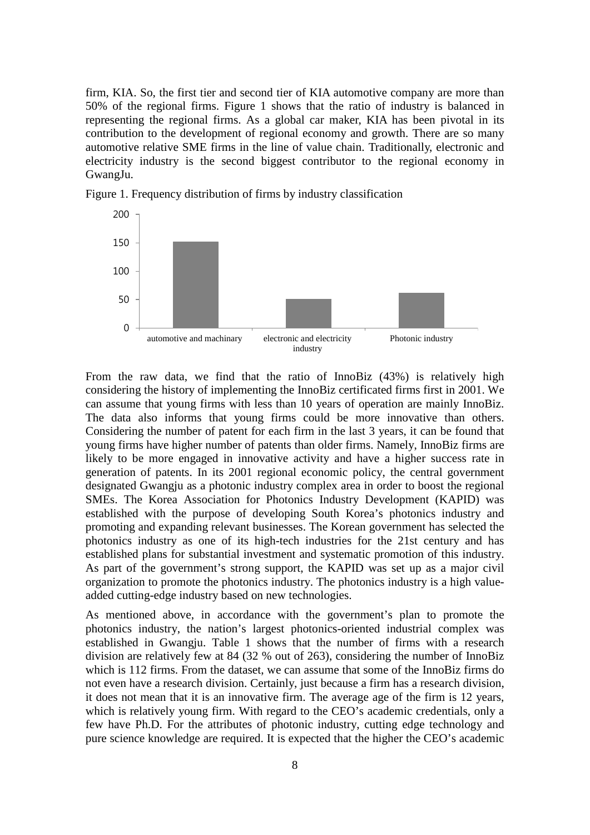firm, KIA. So, the first tier and second tier of KIA automotive company are more than 50% of the regional firms. Figure 1 shows that the ratio of industry is balanced in representing the regional firms. As a global car maker, KIA has been pivotal in its contribution to the development of regional economy and growth. There are so many automotive relative SME firms in the line of value chain. Traditionally, electronic and electricity industry is the second biggest contributor to the regional economy in GwangJu.





From the raw data, we find that the ratio of InnoBiz (43%) is relatively high considering the history of implementing the InnoBiz certificated firms first in 2001. We can assume that young firms with less than 10 years of operation are mainly InnoBiz. The data also informs that young firms could be more innovative than others. Considering the number of patent for each firm in the last 3 years, it can be found that young firms have higher number of patents than older firms. Namely, InnoBiz firms are likely to be more engaged in innovative activity and have a higher success rate in generation of patents. In its 2001 regional economic policy, the central government designated Gwangju as a photonic industry complex area in order to boost the regional SMEs. The Korea Association for Photonics Industry Development (KAPID) was established with the purpose of developing South Korea's photonics industry and promoting and expanding relevant businesses. The Korean government has selected the photonics industry as one of its high-tech industries for the 21st century and has established plans for substantial investment and systematic promotion of this industry. As part of the government's strong support, the KAPID was set up as a major civil organization to promote the photonics industry. The photonics industry is a high valueadded cutting-edge industry based on new technologies.

As mentioned above, in accordance with the government's plan to promote the photonics industry, the nation's largest photonics-oriented industrial complex was established in Gwangju. Table 1 shows that the number of firms with a research division are relatively few at 84 (32 % out of 263), considering the number of InnoBiz which is 112 firms. From the dataset, we can assume that some of the InnoBiz firms do not even have a research division. Certainly, just because a firm has a research division, it does not mean that it is an innovative firm. The average age of the firm is 12 years, which is relatively young firm. With regard to the CEO's academic credentials, only a few have Ph.D. For the attributes of photonic industry, cutting edge technology and pure science knowledge are required. It is expected that the higher the CEO's academic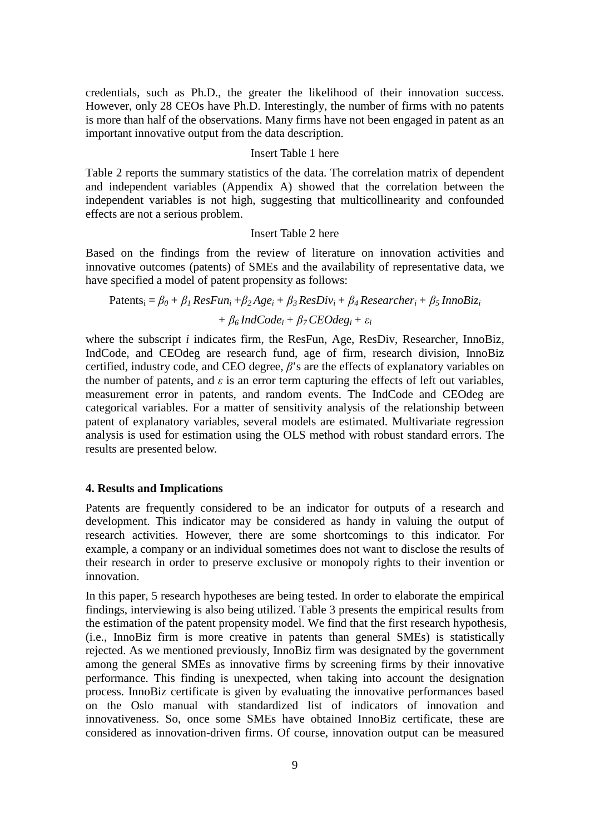credentials, such as Ph.D., the greater the likelihood of their innovation success. However, only 28 CEOs have Ph.D. Interestingly, the number of firms with no patents is more than half of the observations. Many firms have not been engaged in patent as an important innovative output from the data description.

#### Insert Table 1 here

Table 2 reports the summary statistics of the data. The correlation matrix of dependent and independent variables (Appendix A) showed that the correlation between the independent variables is not high, suggesting that multicollinearity and confounded effects are not a serious problem.

#### Insert Table 2 here

Based on the findings from the review of literature on innovation activities and innovative outcomes (patents) of SMEs and the availability of representative data, we have specified a model of patent propensity as follows:

$$
\begin{aligned} \text{Patents}_{i} &= \beta_{0} + \beta_{1} \text{ResFun}_{i} + \beta_{2} \text{Age}_{i} + \beta_{3} \text{ResDiv}_{i} + \beta_{4} \text{Researcher}_{i} + \beta_{5} \text{InnoBiz}_{i} \\ &+ \beta_{6} \text{IndCode}_{i} + \beta_{7} \text{CEOdeg}_{i} + \varepsilon_{i} \end{aligned}
$$

where the subscript *i* indicates firm, the ResFun, Age, ResDiv, Researcher, InnoBiz, IndCode, and CEOdeg are research fund, age of firm, research division, InnoBiz certified, industry code, and CEO degree, *β*'s are the effects of explanatory variables on the number of patents, and  $\varepsilon$  is an error term capturing the effects of left out variables, measurement error in patents, and random events. The IndCode and CEOdeg are categorical variables. For a matter of sensitivity analysis of the relationship between patent of explanatory variables, several models are estimated. Multivariate regression analysis is used for estimation using the OLS method with robust standard errors. The results are presented below.

#### **4. Results and Implications**

Patents are frequently considered to be an indicator for outputs of a research and development. This indicator may be considered as handy in valuing the output of research activities. However, there are some shortcomings to this indicator. For example, a company or an individual sometimes does not want to disclose the results of their research in order to preserve exclusive or monopoly rights to their invention or innovation.

In this paper, 5 research hypotheses are being tested. In order to elaborate the empirical findings, interviewing is also being utilized. Table 3 presents the empirical results from the estimation of the patent propensity model. We find that the first research hypothesis, (i.e., InnoBiz firm is more creative in patents than general SMEs) is statistically rejected. As we mentioned previously, InnoBiz firm was designated by the government among the general SMEs as innovative firms by screening firms by their innovative performance. This finding is unexpected, when taking into account the designation process. InnoBiz certificate is given by evaluating the innovative performances based on the Oslo manual with standardized list of indicators of innovation and innovativeness. So, once some SMEs have obtained InnoBiz certificate, these are considered as innovation-driven firms. Of course, innovation output can be measured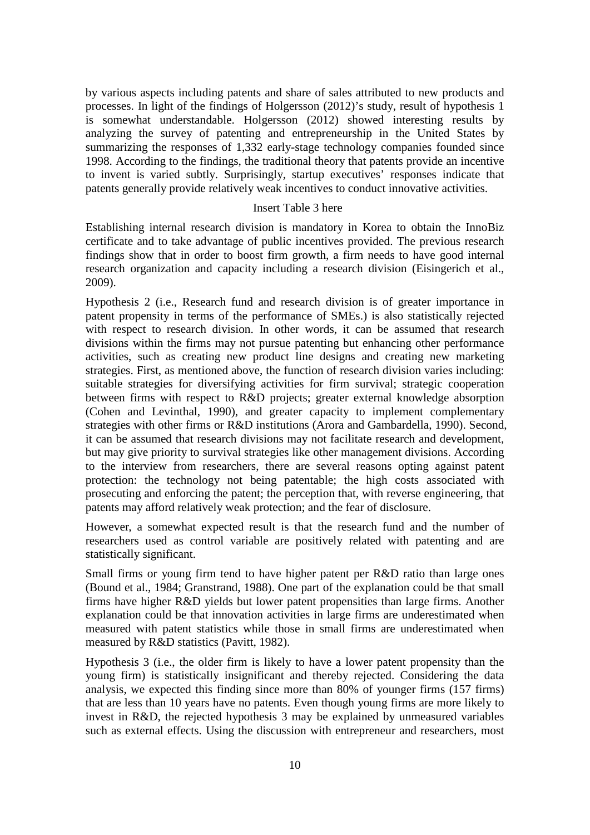by various aspects including patents and share of sales attributed to new products and processes. In light of the findings of Holgersson (2012)'s study, result of hypothesis 1 is somewhat understandable. Holgersson (2012) showed interesting results by analyzing the survey of patenting and entrepreneurship in the United States by summarizing the responses of 1,332 early-stage technology companies founded since 1998. According to the findings, the traditional theory that patents provide an incentive to invent is varied subtly. Surprisingly, startup executives' responses indicate that patents generally provide relatively weak incentives to conduct innovative activities.

## Insert Table 3 here

Establishing internal research division is mandatory in Korea to obtain the InnoBiz certificate and to take advantage of public incentives provided. The previous research findings show that in order to boost firm growth, a firm needs to have good internal research organization and capacity including a research division [\(Eisingerich](http://www.sciencedirect.com/science/article/pii/S0048733311001685#bib0100) et al., [2009\)](http://www.sciencedirect.com/science/article/pii/S0048733311001685#bib0100).

Hypothesis 2 (i.e., Research fund and research division is of greater importance in patent propensity in terms of the performance of SMEs.) is also statistically rejected with respect to research division. In other words, it can be assumed that research divisions within the firms may not pursue patenting but enhancing other performance activities, such as creating new product line designs and creating new marketing strategies. First, as mentioned above, the function of research division varies including: suitable strategies for diversifying activities for firm survival; strategic cooperation between firms with respect to R&D projects; greater external knowledge absorption [\(Cohen and Levinthal, 1990\)](http://www.sciencedirect.com/science/article/pii/S0048733311001685#bib0065), and greater capacity to implement complementary strategies with other firms or R&D institutions (Arora and [Gambardella,](http://www.sciencedirect.com/science/article/pii/S0048733311001685#bib0015) 1990). Second, it can be assumed that research divisions may not facilitate research and development, but may give priority to survival strategies like other management divisions. According to the interview from researchers, there are several reasons opting against patent protection: the technology not being patentable; the high costs associated with prosecuting and enforcing the patent; the perception that, with reverse engineering, that patents may afford relatively weak protection; and the fear of disclosure.

However, a somewhat expected result is that the research fund and the number of researchers used as control variable are positively related with patenting and are statistically significant.

Small firms or young firm tend to have higher patent per R&D ratio than large ones (Bound et al., 1984; Granstrand, 1988). One part of the explanation could be that small firms have higher R&D yields but lower patent propensities than large firms. Another explanation could be that innovation activities in large firms are underestimated when measured with patent statistics while those in small firms are underestimated when measured by R&D statistics (Pavitt, 1982).

Hypothesis 3 (i.e., the older firm is likely to have a lower patent propensity than the young firm) is statistically insignificant and thereby rejected. Considering the data analysis, we expected this finding since more than 80% of younger firms (157 firms) that are less than 10 years have no patents. Even though young firms are more likely to invest in R&D, the rejected hypothesis 3 may be explained by unmeasured variables such as external effects. Using the discussion with entrepreneur and researchers, most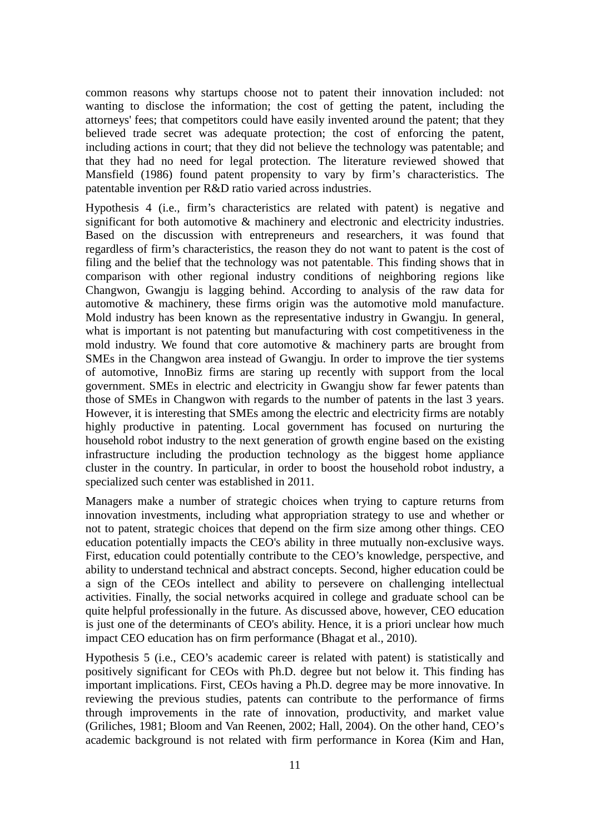common reasons why startups choose not to patent their innovation included: not wanting to disclose the information; the cost of getting the patent, including the attorneys' fees; that competitors could have easily invented around the patent; that they believed trade secret was adequate protection; the cost of enforcing the patent, including actions in court; that they did not believe the technology was patentable; and that they had no need for legal protection. The literature reviewed showed that Mansfield (1986) found patent propensity to vary by firm's characteristics. The patentable invention per R&D ratio varied across industries.

Hypothesis 4 (i.e., firm's characteristics are related with patent) is negative and significant for both automotive & machinery and electronic and electricity industries. Based on the discussion with entrepreneurs and researchers, it was found that regardless of firm's characteristics, the reason they do not want to patent is the cost of filing and the belief that the technology was not patentable. This finding shows that in comparison with other regional industry conditions of neighboring regions like Changwon, Gwangju is lagging behind. According to analysis of the raw data for automotive & machinery, these firms origin was the automotive mold manufacture. Mold industry has been known as the representative industry in Gwangju. In general, what is important is not patenting but manufacturing with cost competitiveness in the mold industry. We found that core automotive & machinery parts are brought from SMEs in the Changwon area instead of Gwangju. In order to improve the tier systems of automotive, InnoBiz firms are staring up recently with support from the local government. SMEs in electric and electricity in Gwangju show far fewer patents than those of SMEs in Changwon with regards to the number of patents in the last 3 years. However, it is interesting that SMEs among the electric and electricity firms are notably highly productive in patenting. Local government has focused on nurturing the household robot industry to the next generation of growth engine based on the existing infrastructure including the production technology as the biggest home appliance cluster in the country. In particular, in order to boost the household robot industry, a specialized such center was established in 2011.

Managers make a number of strategic choices when trying to capture returns from innovation investments, including what appropriation strategy to use and whether or not to patent, strategic choices that depend on the firm size among other things. CEO education potentially impacts the CEO's ability in three mutually non-exclusive ways. First, education could potentially contribute to the CEO's knowledge, perspective, and ability to understand technical and abstract concepts. Second, higher education could be a sign of the CEOs intellect and ability to persevere on challenging intellectual activities. Finally, the social networks acquired in college and graduate school can be quite helpful professionally in the future. As discussed above, however, CEO education is just one of the determinants of CEO's ability. Hence, it is a priori unclear how much impact CEO education has on firm performance (Bhagat et al., 2010).

Hypothesis 5 (i.e., CEO's academic career is related with patent) is statistically and positively significant for CEOs with Ph.D. degree but not below it. This finding has important implications. First, CEOs having a Ph.D. degree may be more innovative. In reviewing the previous studies, patents can contribute to the performance of firms through improvements in the rate of innovation, productivity, and market value (Griliches, 1981; Bloom and Van Reenen, 2002; Hall, 2004). On the other hand, CEO's academic background is not related with firm performance in Korea (Kim and Han,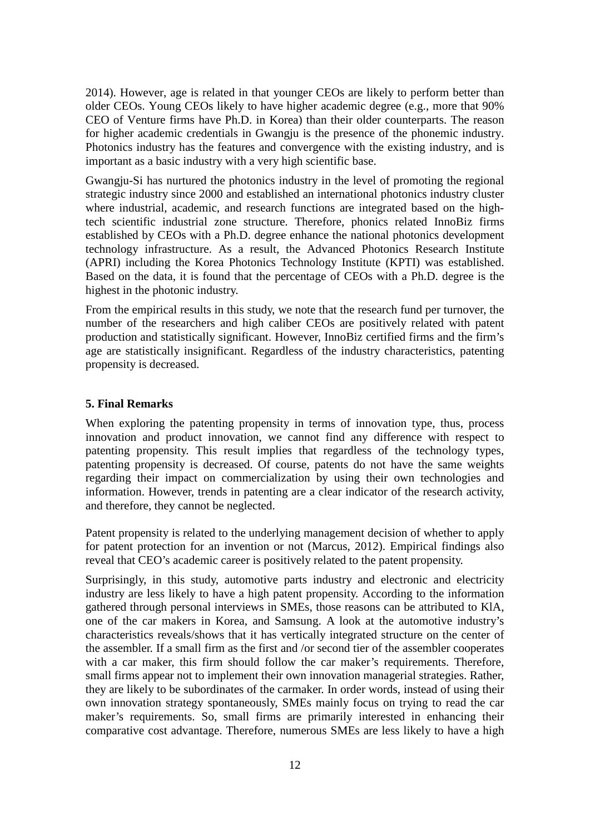2014). However, age is related in that younger CEOs are likely to perform better than older CEOs. Young CEOs likely to have higher academic degree (e.g., more that 90% CEO of Venture firms have Ph.D. in Korea) than their older counterparts. The reason for higher academic credentials in Gwangju is the presence of the phonemic industry. Photonics industry has the features and convergence with the existing industry, and is important as a basic industry with a very high scientific base.

Gwangju-Si has nurtured the photonics industry in the level of promoting the regional strategic industry since 2000 and established an international photonics industry cluster where industrial, academic, and research functions are integrated based on the hightech scientific industrial zone structure. Therefore, phonics related InnoBiz firms established by CEOs with a Ph.D. degree enhance the national photonics development technology infrastructure. As a result, the Advanced Photonics Research Institute (APRI) including the Korea Photonics Technology Institute (KPTI) was established. Based on the data, it is found that the percentage of CEOs with a Ph.D. degree is the highest in the photonic industry.

From the empirical results in this study, we note that the research fund per turnover, the number of the researchers and high caliber CEOs are positively related with patent production and statistically significant. However, InnoBiz certified firms and the firm's age are statistically insignificant. Regardless of the industry characteristics, patenting propensity is decreased.

## **5. Final Remarks**

When exploring the patenting propensity in terms of innovation type, thus, process innovation and product innovation, we cannot find any difference with respect to patenting propensity. This result implies that regardless of the technology types, patenting propensity is decreased. Of course, patents do not have the same weights regarding their impact on commercialization by using their own technologies and information. However, trends in patenting are a clear indicator of the research activity, and therefore, they cannot be neglected.

Patent propensity is related to the underlying management decision of whether to apply for patent protection for an invention or not (Marcus, 2012). Empirical findings also reveal that CEO's academic career is positively related to the patent propensity.

Surprisingly, in this study, automotive parts industry and electronic and electricity industry are less likely to have a high patent propensity. According to the information gathered through personal interviews in SMEs, those reasons can be attributed to KlA, one of the car makers in Korea, and Samsung. A look at the automotive industry's characteristics reveals/shows that it has vertically integrated structure on the center of the assembler. If a small firm as the first and /or second tier of the assembler cooperates with a car maker, this firm should follow the car maker's requirements. Therefore, small firms appear not to implement their own innovation managerial strategies. Rather, they are likely to be subordinates of the carmaker. In order words, instead of using their own innovation strategy spontaneously, SMEs mainly focus on trying to read the car maker's requirements. So, small firms are primarily interested in enhancing their comparative cost advantage. Therefore, numerous SMEs are less likely to have a high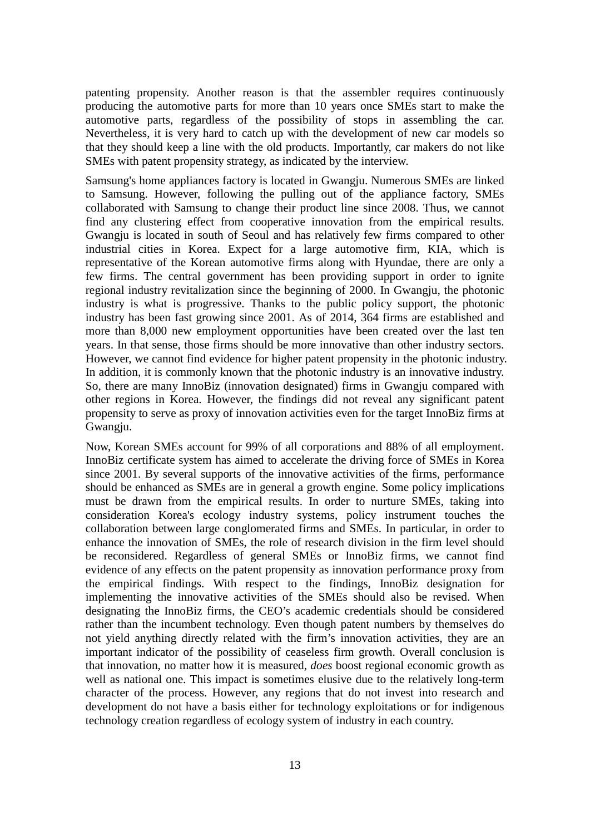patenting propensity. Another reason is that the assembler requires continuously producing the automotive parts for more than 10 years once SMEs start to make the automotive parts, regardless of the possibility of stops in assembling the car. Nevertheless, it is very hard to catch up with the development of new car models so that they should keep a line with the old products. Importantly, car makers do not like SMEs with patent propensity strategy, as indicated by the interview.

Samsung's home appliances factory is located in Gwangju. Numerous SMEs are linked to Samsung. However, following the pulling out of the appliance factory, SMEs collaborated with Samsung to change their product line since 2008. Thus, we cannot find any clustering effect from cooperative innovation from the empirical results. Gwangju is located in south of Seoul and has relatively few firms compared to other industrial cities in Korea. Expect for a large automotive firm, KIA, which is representative of the Korean automotive firms along with Hyundae, there are only a few firms. The central government has been providing support in order to ignite regional industry revitalization since the beginning of 2000. In Gwangju, the photonic industry is what is progressive. Thanks to the public policy support, the photonic industry has been fast growing since 2001. As of 2014, 364 firms are established and more than 8,000 new employment opportunities have been created over the last ten years. In that sense, those firms should be more innovative than other industry sectors. However, we cannot find evidence for higher patent propensity in the photonic industry. In addition, it is commonly known that the photonic industry is an innovative industry. So, there are many InnoBiz (innovation designated) firms in Gwangju compared with other regions in Korea. However, the findings did not reveal any significant patent propensity to serve as proxy of innovation activities even for the target InnoBiz firms at Gwangju.

Now, Korean SMEs account for 99% of all corporations and 88% of all employment. InnoBiz certificate system has aimed to accelerate the driving force of SMEs in Korea since 2001. By several supports of the innovative activities of the firms, performance should be enhanced as SMEs are in general a growth engine. Some policy implications must be drawn from the empirical results. In order to nurture SMEs, taking into consideration Korea's ecology industry systems, policy instrument touches the collaboration between large conglomerated firms and SMEs. In particular, in order to enhance the innovation of SMEs, the role of research division in the firm level should be reconsidered. Regardless of general SMEs or InnoBiz firms, we cannot find evidence of any effects on the patent propensity as innovation performance proxy from the empirical findings. With respect to the findings, InnoBiz designation for implementing the innovative activities of the SMEs should also be revised. When designating the InnoBiz firms, the CEO's academic credentials should be considered rather than the incumbent technology. Even though patent numbers by themselves do not yield anything directly related with the firm's innovation activities, they are an important indicator of the possibility of ceaseless firm growth. Overall conclusion is that innovation, no matter how it is measured, *does* boost regional economic growth as well as national one. This impact is sometimes elusive due to the relatively long-term character of the process. However, any regions that do not invest into research and development do not have a basis either for technology exploitations or for indigenous technology creation regardless of ecology system of industry in each country.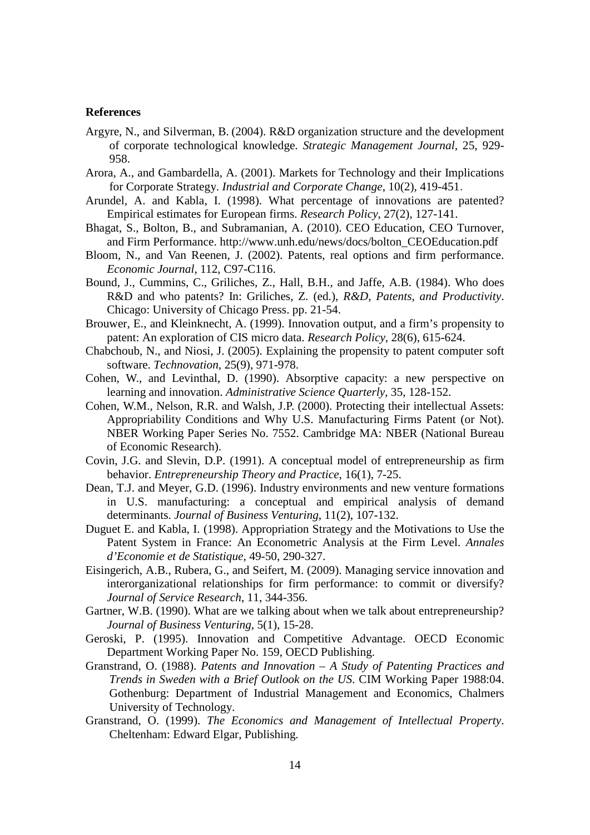#### **References**

- Argyre, N., and Silverman, B. (2004). R&D organization structure and the development of corporate technological knowledge. *Strategic Management Journal*, 25, 929- 958.
- Arora, A., and Gambardella, A. (2001). Markets for Technology and their Implications for Corporate Strategy. *Industrial and Corporate Change*, 10(2), 419-451.
- Arundel, A. and Kabla, I. (1998). What percentage of innovations are patented? Empirical estimates for European firms. *Research Policy*, 27(2), 127-141.
- Bhagat, S., Bolton, B., and Subramanian, A. (2010). CEO Education, CEO Turnover, and Firm Performance. http://www.unh.edu/news/docs/bolton\_CEOEducation.pdf
- Bloom, N., and Van Reenen, J. (2002). Patents, real options and firm performance. *Economic Journal*, 112, C97-C116.
- Bound, J., Cummins, C., Griliches, Z., Hall, B.H., and Jaffe, A.B. (1984). Who does R&D and who patents? In: Griliches, Z. (ed.), *R&D, Patents, and Productivity*. Chicago: University of Chicago Press. pp. 21-54.
- Brouwer, E., and Kleinknecht, A. (1999). Innovation output, and a firm's propensity to patent: An exploration of CIS micro data. *Research Policy,* 28(6), 615-624.
- Chabchoub, N., and Niosi, J. (2005). Explaining the propensity to patent computer soft software. *Technovation,* 25(9), 971-978.
- Cohen, W., and Levinthal, D. (1990). Absorptive capacity: a new perspective on learning and innovation. *Administrative Science Quarterly*, 35, 128-152.
- Cohen, W.M., Nelson, R.R. and Walsh, J.P. (2000). Protecting their intellectual Assets: Appropriability Conditions and Why U.S. Manufacturing Firms Patent (or Not). NBER Working Paper Series No. 7552. Cambridge MA: NBER (National Bureau of Economic Research).
- Covin, J.G. and Slevin, D.P. (1991). A conceptual model of entrepreneurship as firm behavior. *Entrepreneurship Theory and Practice*, 16(1), 7-25.
- Dean, T.J. and Meyer, G.D. (1996). Industry environments and new venture formations in U.S. manufacturing: a conceptual and empirical analysis of demand determinants. *Journal of Business Venturing*, 11(2), 107-132.
- Duguet E. and Kabla, I. (1998). Appropriation Strategy and the Motivations to Use the Patent System in France: An Econometric Analysis at the Firm Level. *Annales d'Economie et de Statistique*, 49-50, 290-327.
- Eisingerich, A.B., Rubera, G., and Seifert, M. (2009). Managing service innovation and interorganizational relationships for firm performance: to commit or diversify? *Journal of Service Research*, 11, 344-356.
- Gartner, W.B. (1990). What are we talking about when we talk about entrepreneurship? *Journal of Business Venturing*, 5(1), 15-28.
- Geroski, P. (1995). Innovation and Competitive Advantage. OECD Economic Department Working Paper No. 159, OECD Publishing.
- Granstrand, O. (1988). *Patents and Innovation – A Study of Patenting Practices and Trends in Sweden with a Brief Outlook on the US*. CIM Working Paper 1988:04. Gothenburg: Department of Industrial Management and Economics, Chalmers University of Technology.
- Granstrand, O. (1999). *The Economics and Management of Intellectual Property*. Cheltenham: Edward Elgar, Publishing.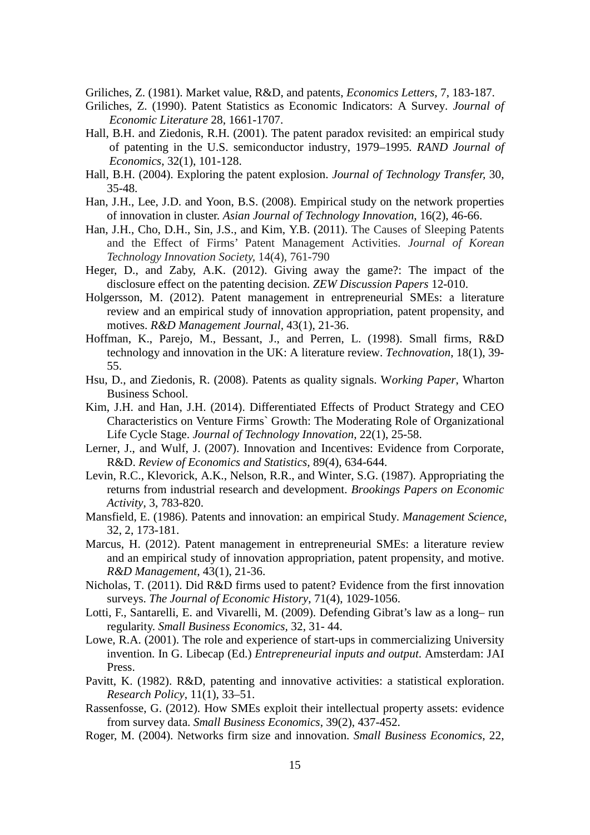Griliches, Z. (1981). Market value, R&D, and patents, *Economics Letters,* 7, 183-187.

- Griliches, Z. (1990). Patent Statistics as Economic Indicators: A Survey. *Journal of Economic Literature* 28, 1661-1707.
- Hall, B.H. and Ziedonis, R.H. (2001). The patent paradox revisited: an empirical study of patenting in the U.S. semiconductor industry, 1979–1995. *RAND Journal of Economics*, 32(1), 101-128.
- Hall, B.H. (2004). Exploring the patent explosion. *Journal of Technology Transfer,* 30, 35-48.
- Han, J.H., Lee, J.D. and Yoon, B.S. (2008). Empirical study on the network properties of innovation in cluster. *Asian Journal of Technology Innovation*, 16(2), 46-66.
- Han, J.H., Cho, D.H., Sin, J.S., and Kim, Y.B. (2011). The Causes of Sleeping Patents and the Effect of Firms' Patent Management Activities. *Journal of Korean Technology Innovation Society,* 14(4), 761-790
- Heger, D., and Zaby, A.K. (2012). [Giving away the game?:](http://ideas.repec.org/p/zbw/zewdip/12010.html) The impact of the [disclosure effect on the patenting decision.](http://ideas.repec.org/p/zbw/zewdip/12010.html) *[ZEW Discussion Papers](http://ideas.repec.org/s/zbw/zewdip.html)* 12-010.
- Holgersson, M. (2012). Patent management in entrepreneurial SMEs: a literature review and an empirical study of innovation appropriation, patent propensity, and motives. *R&D Management Journal,* 43(1), 21-36.
- Hoffman, K., Parejo, M., Bessant, J., and Perren, L. (1998). Small firms, R&D technology and innovation in the UK: A literature review. *Technovation*, 18(1), 39- 55.
- Hsu, D., and Ziedonis, R. (2008). Patents as quality signals. W*orking Paper*, Wharton Business School.
- Kim, J.H. and Han, J.H. (2014). Differentiated Effects of Product Strategy and CEO Characteristics on Venture Firms` Growth: The Moderating Role of Organizational Life Cycle Stage. *Journal of Technology Innovation*, 22(1), 25-58.
- Lerner, J., and Wulf, J. (2007). Innovation and Incentives: Evidence from Corporate, R&D. *Review of Economics and Statistics,* 89(4), 634-644.
- Levin, R.C., Klevorick, A.K., Nelson, R.R., and Winter, S.G. (1987). Appropriating the returns from industrial research and development. *Brookings Papers on Economic Activity*, 3, 783-820.
- Mansfield, E. (1986). Patents and innovation: an empirical Study. *Management Science*, 32, 2, 173-181.
- Marcus, H. (2012). Patent management in entrepreneurial SMEs: a literature review and an empirical study of innovation appropriation, patent propensity, and motive. *R&D Management*, 43(1), 21-36.
- Nicholas, T. (2011). Did R&D firms used to patent? Evidence from the first innovation surveys. *The Journal of Economic History*, 71(4), 1029-1056.
- Lotti, F., Santarelli, E. and Vivarelli, M. (2009). Defending Gibrat's law as a long– run regularity. *Small Business Economics,* 32, 31- 44.
- Lowe, R.A. (2001). The role and experience of start-ups in commercializing University invention. In G. Libecap (Ed.) *Entrepreneurial inputs and output*. Amsterdam: JAI Press.
- Pavitt, K. (1982). R&D, patenting and innovative activities: a statistical exploration. *Research Policy*, 11(1), 33–51.
- Rassenfosse, G. (2012). How SMEs exploit their intellectual property assets: evidence from survey data. *Small Business Economics*, 39(2), 437-452.
- Roger, M. (2004). Networks firm size and innovation. *Small Business Economics*, 22,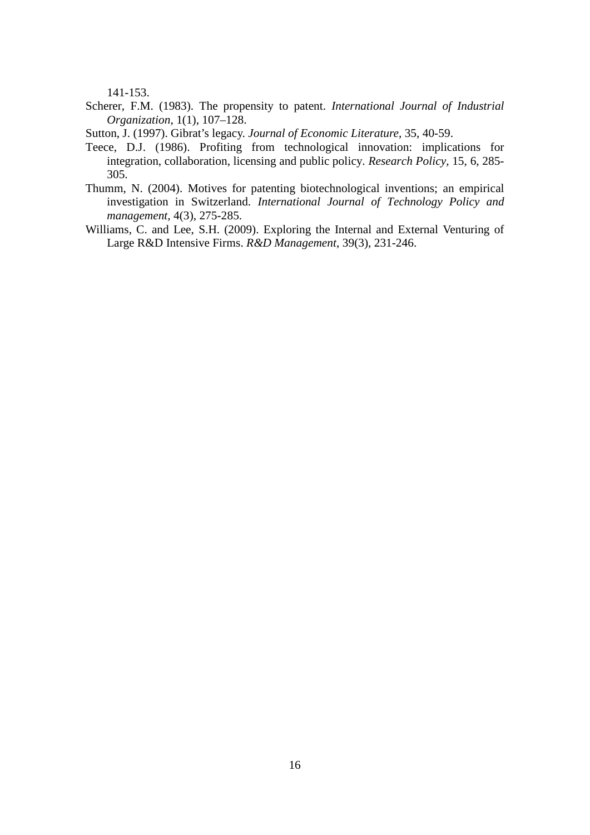141-153.

- Scherer, F.M. (1983). The propensity to patent. *International Journal of Industrial Organization*, 1(1), 107–128.
- Sutton, J. (1997). Gibrat's legacy. *Journal of Economic Literature*, 35, 40-59.
- Teece, D.J. (1986). Profiting from technological innovation: implications for integration, collaboration, licensing and public policy. *Research Policy*, 15, 6, 285- 305.
- Thumm, N. (2004). Motives for patenting biotechnological inventions; an empirical investigation in Switzerland. *International Journal of Technology Policy and management,* 4(3), 275-285.
- Williams, C. and Lee, S.H. (2009). Exploring the Internal and External Venturing of Large R&D Intensive Firms. *R&D Management*, 39(3), 231-246.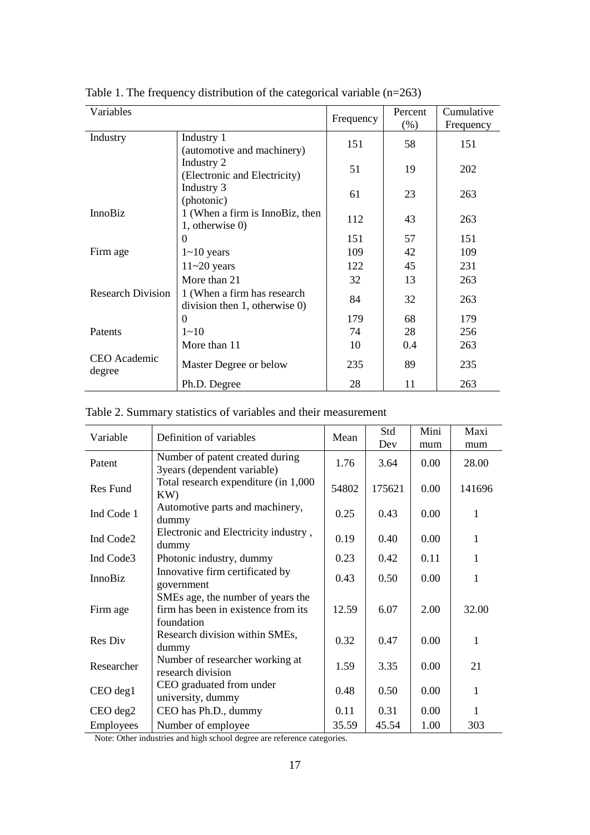| Variables                |                                                                    | Frequency | Percent<br>(% ) | Cumulative<br>Frequency |
|--------------------------|--------------------------------------------------------------------|-----------|-----------------|-------------------------|
| Industry                 | Industry 1<br>(automotive and machinery)                           | 151       | 58              | 151                     |
|                          | Industry 2<br>(Electronic and Electricity)                         | 51        | 19              | 202                     |
|                          | Industry 3<br>(photonic)                                           | 61        | 23              | 263                     |
| InnoBiz                  | 1 (When a firm is InnoBiz, then<br>1, otherwise 0)                 | 112       | 43              | 263                     |
|                          | $\Omega$                                                           | 151       | 57              | 151                     |
| Firm age                 | $1 \sim 10$ years                                                  | 109       | 42              | 109                     |
|                          | $11 - 20$ years                                                    | 122       | 45              | 231                     |
|                          | More than 21                                                       | 32        | 13              | 263                     |
| <b>Research Division</b> | 1 (When a firm has research<br>division then $1$ , otherwise $0$ ) | 84        | 32              | 263                     |
|                          | $\Omega$                                                           | 179       | 68              | 179                     |
| Patents                  | $1 - 10$                                                           | 74        | 28              | 256                     |
|                          | More than 11                                                       | 10        | 0.4             | 263                     |
| CEO Academic<br>degree   | Master Degree or below                                             | 235       | 89              | 235                     |
|                          | Ph.D. Degree                                                       | 28        | 11              | 263                     |

Table 1. The frequency distribution of the categorical variable (n=263)

| Table 2. Summary statistics of variables and their measurement |  |  |  |  |  |  |
|----------------------------------------------------------------|--|--|--|--|--|--|
|----------------------------------------------------------------|--|--|--|--|--|--|

|                 |                                                                                        |       | Std    | Mini | Maxi   |
|-----------------|----------------------------------------------------------------------------------------|-------|--------|------|--------|
| Variable        | Definition of variables                                                                | Mean  | Dev    | mum  | mum    |
| Patent          | Number of patent created during<br>3years (dependent variable)                         | 1.76  | 3.64   | 0.00 | 28.00  |
| <b>Res Fund</b> | Total research expenditure (in 1,000<br>KW)                                            | 54802 | 175621 | 0.00 | 141696 |
| Ind Code 1      | Automotive parts and machinery,<br>dummy                                               | 0.25  | 0.43   | 0.00 | 1      |
| Ind Code2       | Electronic and Electricity industry,<br>dummy                                          | 0.19  | 0.40   | 0.00 | 1      |
| Ind Code3       | Photonic industry, dummy                                                               | 0.23  | 0.42   | 0.11 | 1      |
| InnoBiz         | Innovative firm certificated by<br>government                                          | 0.43  | 0.50   | 0.00 | 1      |
| Firm age        | SMEs age, the number of years the<br>firm has been in existence from its<br>foundation | 12.59 | 6.07   | 2.00 | 32.00  |
| Res Div         | Research division within SMEs,<br>dummy                                                | 0.32  | 0.47   | 0.00 | 1      |
| Researcher      | Number of researcher working at<br>research division                                   | 1.59  | 3.35   | 0.00 | 21     |
| $CEO$ deg1      | CEO graduated from under<br>university, dummy                                          | 0.48  | 0.50   | 0.00 | 1      |
| CEO deg2        | CEO has Ph.D., dummy                                                                   | 0.11  | 0.31   | 0.00 | 1      |
| Employees       | Number of employee                                                                     | 35.59 | 45.54  | 1.00 | 303    |

Note: Other industries and high school degree are reference categories.